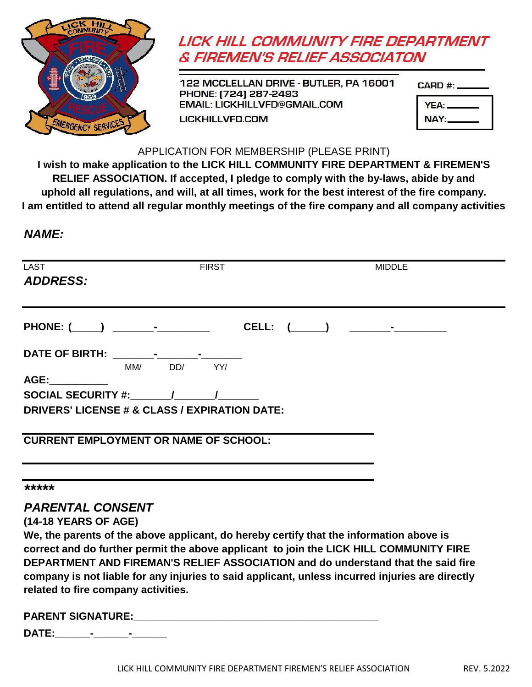

# **LICK HILL COMMUNITY FIRE DEPARTMENT & FIREMEN'S RELIEF ASSOCIATON**

122 MCCLELLAN DRIVE - BUTLER, PA 16001 PHONE: [724] 287-2493 **EMAIL: LICKHILLVFD@GMAIL.COM LICKHILLVFD.COM** 

| CARD #: . |  |
|-----------|--|
|           |  |

| YEA: |  |
|------|--|
| NAY: |  |

#### APPLICATION FOR MEMBERSHIP (PLEASE PRINT)

**I wish to make application to the LICK HILL COMMUNITY FIRE DEPARTMENT & FIREMEN'S RELIEF ASSOCIATION. If accepted, I pledge to comply with the by-laws, abide by and uphold all regulations, and will, at all times, work for the best interest of the fire company. I am entitled to attend all regular monthly meetings of the fire company and all company activities**

# *NAME:*

| <b>LAST</b><br><b>ADDRESS:</b>                |                         |             | <b>FIRST</b> |  |  |  | MIDDLE |  |  |
|-----------------------------------------------|-------------------------|-------------|--------------|--|--|--|--------|--|--|
|                                               |                         |             |              |  |  |  |        |  |  |
|                                               |                         |             |              |  |  |  |        |  |  |
|                                               |                         | MM/ DD/ YY/ |              |  |  |  |        |  |  |
| AGE:__________                                |                         |             |              |  |  |  |        |  |  |
| SOCIAL SECURITY #: $\qquad \qquad /$          |                         |             |              |  |  |  |        |  |  |
| DRIVERS' LICENSE # & CLASS / EXPIRATION DATE: |                         |             |              |  |  |  |        |  |  |
| <b>CURRENT EMPLOYMENT OR NAME OF SCHOOL:</b>  |                         |             |              |  |  |  |        |  |  |
|                                               |                         |             |              |  |  |  |        |  |  |
| *****                                         |                         |             |              |  |  |  |        |  |  |
|                                               | <b>PARENTAL CONSENT</b> |             |              |  |  |  |        |  |  |

### **(14-18 YEARS OF AGE)**

**related to fire company activities. company is not liable for any injuries to said applicant, unless incurred injuries are directly We, the parents of the above applicant, do hereby certify that the information above is correct and do further permit the above applicant to join the LICK HILL COMMUNITY FIRE DEPARTMENT AND FIREMAN'S RELIEF ASSOCIATION and do understand that the said fire**

| <b>PARENT SIGNATURE:</b> |  |  |
|--------------------------|--|--|
| ----                     |  |  |

**DATE:\_\_\_\_\_\_-\_\_\_\_\_\_-\_\_\_\_\_\_**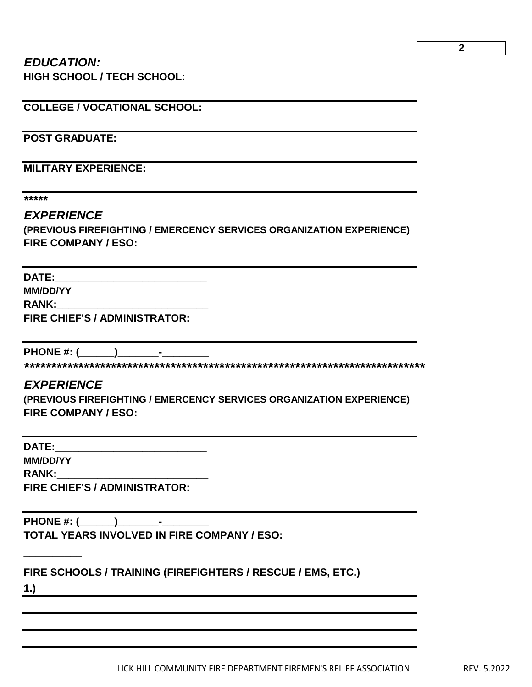#### *EDUCATION:* **HIGH SCHOOL / TECH SCHOOL:**

**COLLEGE / VOCATIONAL SCHOOL:**

**POST GRADUATE:**

**MILITARY EXPERIENCE:**

**\*\*\*\*\***

#### *EXPERIENCE*

**(PREVIOUS FIREFIGHTING / EMERCENCY SERVICES ORGANIZATION EXPERIENCE) FIRE COMPANY / ESO:**

**DATE:\_\_\_\_\_\_\_\_\_\_\_\_\_\_\_\_\_\_\_\_\_\_\_\_\_\_**

**MM/DD/YY**

 $RANK:$ 

**FIRE CHIEF'S / ADMINISTRATOR:**

PHONE #: <u>(\_\_\_\_\_\_)\_\_\_\_\_\_\_\_\_\_</u>\_\_\_

**\*\*\*\*\*\*\*\*\*\*\*\*\*\*\*\*\*\*\*\*\*\*\*\*\*\*\*\*\*\*\*\*\*\*\*\*\*\*\*\*\*\*\*\*\*\*\*\*\*\*\*\*\*\*\*\*\*\*\*\*\*\*\*\*\*\*\*\*\*\*\*\*\*\***

### *EXPERIENCE*

**(PREVIOUS FIREFIGHTING / EMERCENCY SERVICES ORGANIZATION EXPERIENCE) FIRE COMPANY / ESO:**

**DATE:\_\_\_\_\_\_\_\_\_\_\_\_\_\_\_\_\_\_\_\_\_\_\_\_\_\_ MM/DD/YY**  $RANK:$ **FIRE CHIEF'S / ADMINISTRATOR:**

**PHONE #: (\_\_\_\_\_\_)\_\_\_\_\_\_\_-\_\_\_\_\_\_\_\_ TOTAL YEARS INVOLVED IN FIRE COMPANY / ESO:**

**FIRE SCHOOLS / TRAINING (FIREFIGHTERS / RESCUE / EMS, ETC.)**

**1.)**

**\_\_\_\_\_\_\_\_\_\_**

LICK HILL COMMUNITY FIRE DEPARTMENT FIREMEN'S RELIEF ASSOCIATION REV. 5.2022

**2**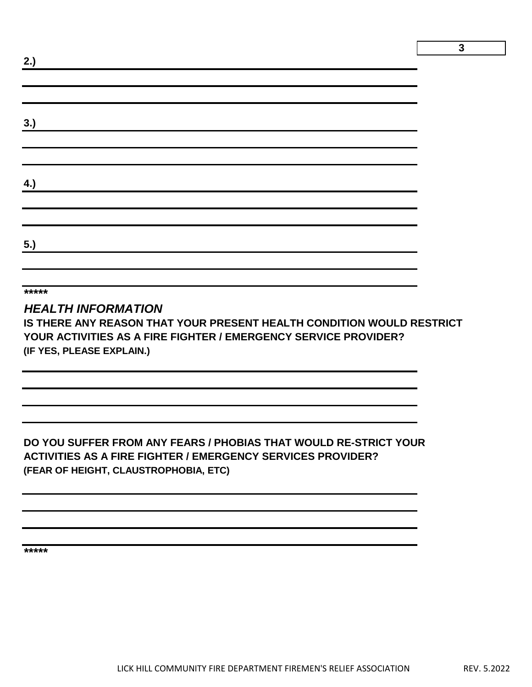| 2.) |  |  | ┕ |
|-----|--|--|---|
|     |  |  |   |
|     |  |  |   |
| 3.) |  |  |   |
|     |  |  |   |
|     |  |  |   |
| 4.) |  |  |   |
|     |  |  |   |
|     |  |  |   |
| 5.) |  |  |   |
|     |  |  |   |

**\*\*\*\*\***

### *HEALTH INFORMATION*

**IS THERE ANY REASON THAT YOUR PRESENT HEALTH CONDITION WOULD RESTRICT YOUR ACTIVITIES AS A FIRE FIGHTER / EMERGENCY SERVICE PROVIDER? (IF YES, PLEASE EXPLAIN.)**

# **DO YOU SUFFER FROM ANY FEARS / PHOBIAS THAT WOULD RE-STRICT YOUR ACTIVITIES AS A FIRE FIGHTER / EMERGENCY SERVICES PROVIDER? (FEAR OF HEIGHT, CLAUSTROPHOBIA, ETC)**

**\*\*\*\*\***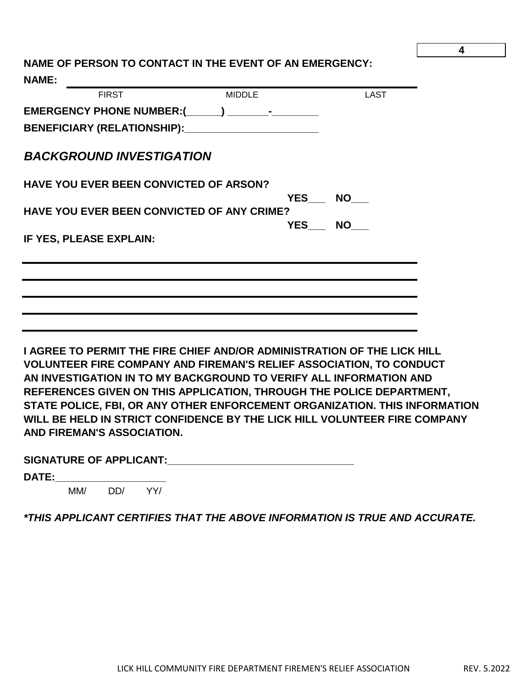#### **4**

**NAME OF PERSON TO CONTACT IN THE EVENT OF AN EMERGENCY: NAME:** 

| <b>FIRST</b>                                                            | <b>MIDDLE</b> | LAST             |
|-------------------------------------------------------------------------|---------------|------------------|
|                                                                         |               |                  |
| BENEFICIARY (RELATIONSHIP):________________________                     |               |                  |
| <b>BACKGROUND INVESTIGATION</b>                                         |               |                  |
| <b>HAVE YOU EVER BEEN CONVICTED OF ARSON?</b>                           |               |                  |
| <b>HAVE YOU EVER BEEN CONVICTED OF ANY CRIME?</b>                       |               | YES NO<br>YES NO |
| IF YES, PLEASE EXPLAIN:                                                 |               |                  |
|                                                                         |               |                  |
|                                                                         |               |                  |
|                                                                         |               |                  |
| I AGREE TO PERMIT THE FIRE CHIEF AND/OR ADMINISTRATION OF THE LICK HILL |               |                  |

**VOLUNTEER FIRE COMPANY AND FIREMAN'S RELIEF ASSOCIATION, TO CONDUCT AN INVESTIGATION IN TO MY BACKGROUND TO VERIFY ALL INFORMATION AND REFERENCES GIVEN ON THIS APPLICATION, THROUGH THE POLICE DEPARTMENT, STATE POLICE, FBI, OR ANY OTHER ENFORCEMENT ORGANIZATION. THIS INFORMATION WILL BE HELD IN STRICT CONFIDENCE BY THE LICK HILL VOLUNTEER FIRE COMPANY AND FIREMAN'S ASSOCIATION.** 

| <b>SIGNATURE OF APPLICANT:</b> |  |
|--------------------------------|--|
|--------------------------------|--|

**DATE:\_\_\_\_\_\_\_\_\_\_\_\_\_\_\_\_\_\_\_**

MM/ DD/ YY/

*\*THIS APPLICANT CERTIFIES THAT THE ABOVE INFORMATION IS TRUE AND ACCURATE.*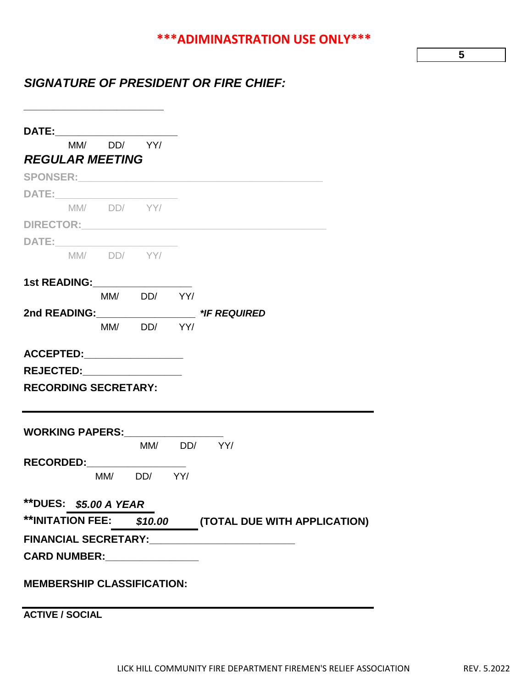# **\*\*\*ADIMINASTRATION USE ONLY\*\*\***

**5**

# *SIGNATURE OF PRESIDENT OR FIRE CHIEF:*

| DATE:________________________                                                                                                                                                                                                       |                   |                                                       |
|-------------------------------------------------------------------------------------------------------------------------------------------------------------------------------------------------------------------------------------|-------------------|-------------------------------------------------------|
|                                                                                                                                                                                                                                     | $MM/$ $DD/$ $YY/$ |                                                       |
| <b>REGULAR MEETING</b>                                                                                                                                                                                                              |                   |                                                       |
|                                                                                                                                                                                                                                     |                   |                                                       |
|                                                                                                                                                                                                                                     |                   |                                                       |
| $MM/$ $DD/$ $YY/$                                                                                                                                                                                                                   |                   |                                                       |
|                                                                                                                                                                                                                                     |                   |                                                       |
| DATE: __________________________                                                                                                                                                                                                    |                   |                                                       |
|                                                                                                                                                                                                                                     | $MM/$ $DD/$ $YY/$ |                                                       |
| 1st READING:_________________                                                                                                                                                                                                       |                   |                                                       |
|                                                                                                                                                                                                                                     | MM/ DD/ YY/       |                                                       |
|                                                                                                                                                                                                                                     |                   |                                                       |
|                                                                                                                                                                                                                                     | $MM/$ $DD/$ $YY/$ |                                                       |
| ACCEPTED:__________________                                                                                                                                                                                                         |                   |                                                       |
| <b>REJECTED:___________________</b>                                                                                                                                                                                                 |                   |                                                       |
| <b>RECORDING SECRETARY:</b>                                                                                                                                                                                                         |                   |                                                       |
|                                                                                                                                                                                                                                     |                   |                                                       |
|                                                                                                                                                                                                                                     |                   |                                                       |
| <b>WORKING PAPERS:_________________</b>                                                                                                                                                                                             |                   |                                                       |
|                                                                                                                                                                                                                                     |                   | MM/ DD/ YY/                                           |
| RECORDED:__________________                                                                                                                                                                                                         |                   |                                                       |
|                                                                                                                                                                                                                                     | MM/ DD/ YY/       |                                                       |
| **DUES: \$5.00 A YEAR                                                                                                                                                                                                               |                   |                                                       |
|                                                                                                                                                                                                                                     |                   | **INITATION FEE: \$10.00 (TOTAL DUE WITH APPLICATION) |
| <b>FINANCIAL SECRETARY:</b>                                                                                                                                                                                                         |                   |                                                       |
| <b>CARD NUMBER:</b> North State State State State State State State State State State State State State State State State State State State State State State State State State State State State State State State State State Sta |                   |                                                       |
|                                                                                                                                                                                                                                     |                   |                                                       |
| <b>MEMBERSHIP CLASSIFICATION:</b>                                                                                                                                                                                                   |                   |                                                       |
|                                                                                                                                                                                                                                     |                   |                                                       |
| <b>ACTIVE / SOCIAL</b>                                                                                                                                                                                                              |                   |                                                       |